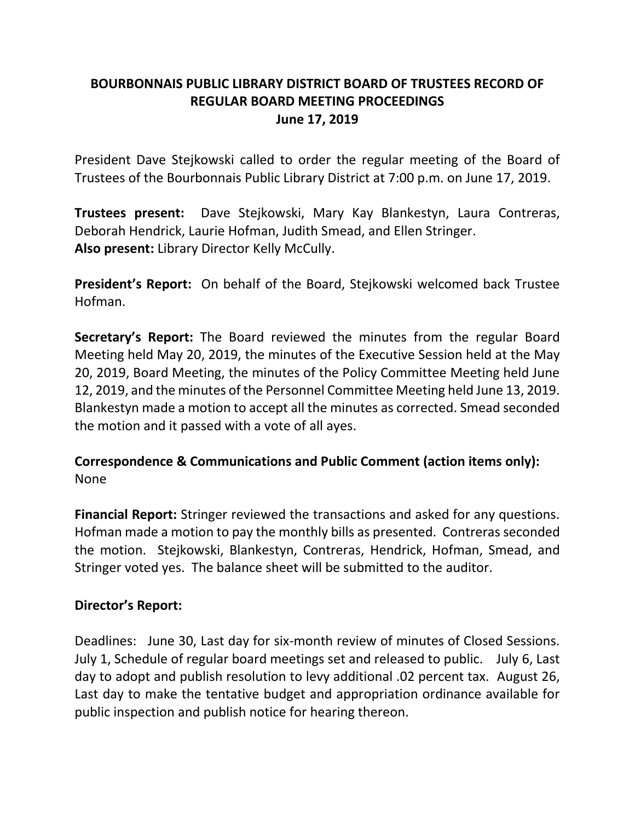## **BOURBONNAIS PUBLIC LIBRARY DISTRICT BOARD OF TRUSTEES RECORD OF REGULAR BOARD MEETING PROCEEDINGS June 17, 2019**

President Dave Stejkowski called to order the regular meeting of the Board of Trustees of the Bourbonnais Public Library District at 7:00 p.m. on June 17, 2019.

**Trustees present:** Dave Stejkowski, Mary Kay Blankestyn, Laura Contreras, Deborah Hendrick, Laurie Hofman, Judith Smead, and Ellen Stringer. **Also present:** Library Director Kelly McCully.

**President's Report:** On behalf of the Board, Stejkowski welcomed back Trustee Hofman.

**Secretary's Report:** The Board reviewed the minutes from the regular Board Meeting held May 20, 2019, the minutes of the Executive Session held at the May 20, 2019, Board Meeting, the minutes of the Policy Committee Meeting held June 12, 2019, and the minutes of the Personnel Committee Meeting held June 13, 2019. Blankestyn made a motion to accept all the minutes as corrected. Smead seconded the motion and it passed with a vote of all ayes.

# **Correspondence & Communications and Public Comment (action items only):** None

**Financial Report:** Stringer reviewed the transactions and asked for any questions. Hofman made a motion to pay the monthly bills as presented. Contreras seconded the motion. Stejkowski, Blankestyn, Contreras, Hendrick, Hofman, Smead, and Stringer voted yes. The balance sheet will be submitted to the auditor.

## **Director's Report:**

Deadlines: June 30, Last day for six-month review of minutes of Closed Sessions. July 1, Schedule of regular board meetings set and released to public. July 6, Last day to adopt and publish resolution to levy additional .02 percent tax. August 26, Last day to make the tentative budget and appropriation ordinance available for public inspection and publish notice for hearing thereon.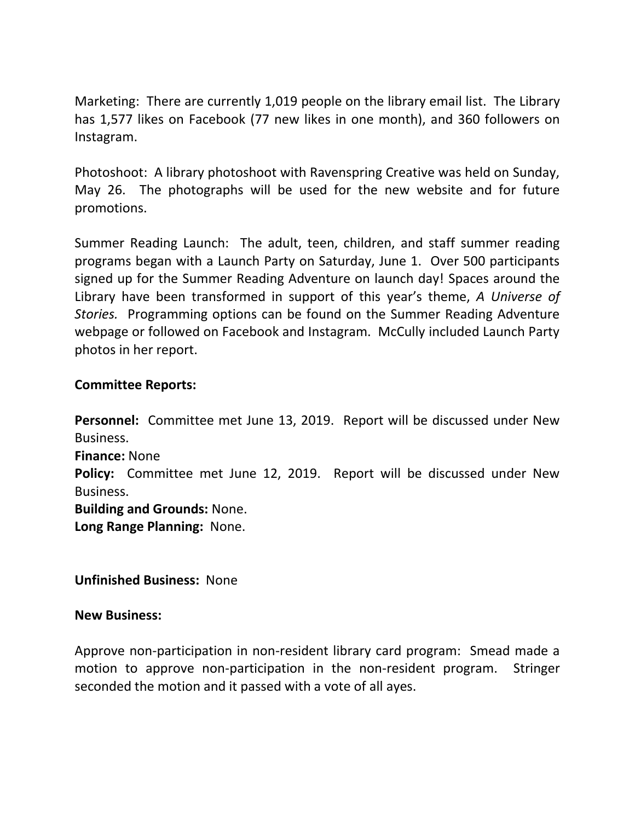Marketing: There are currently 1,019 people on the library email list. The Library has 1,577 likes on Facebook (77 new likes in one month), and 360 followers on Instagram.

Photoshoot: A library photoshoot with Ravenspring Creative was held on Sunday, May 26. The photographs will be used for the new website and for future promotions.

Summer Reading Launch: The adult, teen, children, and staff summer reading programs began with a Launch Party on Saturday, June 1. Over 500 participants signed up for the Summer Reading Adventure on launch day! Spaces around the Library have been transformed in support of this year's theme, *A Universe of Stories.* Programming options can be found on the Summer Reading Adventure webpage or followed on Facebook and Instagram. McCully included Launch Party photos in her report.

### **Committee Reports:**

**Personnel:** Committee met June 13, 2019. Report will be discussed under New Business. **Finance:** None **Policy:** Committee met June 12, 2019. Report will be discussed under New Business. **Building and Grounds:** None. **Long Range Planning:** None.

**Unfinished Business:** None

#### **New Business:**

Approve non-participation in non-resident library card program: Smead made a motion to approve non-participation in the non-resident program. Stringer seconded the motion and it passed with a vote of all ayes.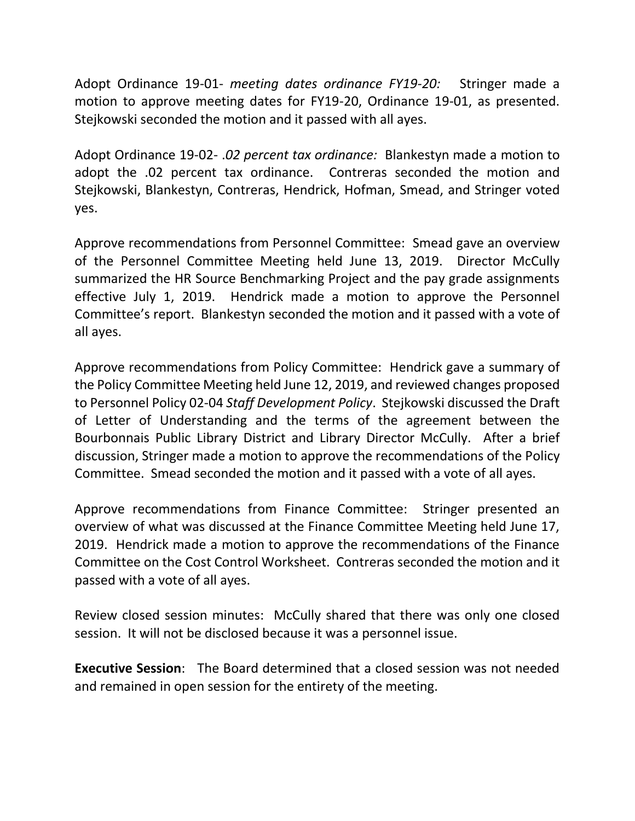Adopt Ordinance 19-01- *meeting dates ordinance FY19-20:* Stringer made a motion to approve meeting dates for FY19-20, Ordinance 19-01, as presented. Stejkowski seconded the motion and it passed with all ayes.

Adopt Ordinance 19-02- .*02 percent tax ordinance:* Blankestyn made a motion to adopt the .02 percent tax ordinance. Contreras seconded the motion and Stejkowski, Blankestyn, Contreras, Hendrick, Hofman, Smead, and Stringer voted yes.

Approve recommendations from Personnel Committee: Smead gave an overview of the Personnel Committee Meeting held June 13, 2019. Director McCully summarized the HR Source Benchmarking Project and the pay grade assignments effective July 1, 2019. Hendrick made a motion to approve the Personnel Committee's report. Blankestyn seconded the motion and it passed with a vote of all ayes.

Approve recommendations from Policy Committee: Hendrick gave a summary of the Policy Committee Meeting held June 12, 2019, and reviewed changes proposed to Personnel Policy 02-04 *Staff Development Policy*. Stejkowski discussed the Draft of Letter of Understanding and the terms of the agreement between the Bourbonnais Public Library District and Library Director McCully. After a brief discussion, Stringer made a motion to approve the recommendations of the Policy Committee. Smead seconded the motion and it passed with a vote of all ayes.

Approve recommendations from Finance Committee: Stringer presented an overview of what was discussed at the Finance Committee Meeting held June 17, 2019. Hendrick made a motion to approve the recommendations of the Finance Committee on the Cost Control Worksheet. Contreras seconded the motion and it passed with a vote of all ayes.

Review closed session minutes: McCully shared that there was only one closed session. It will not be disclosed because it was a personnel issue.

**Executive Session**: The Board determined that a closed session was not needed and remained in open session for the entirety of the meeting.